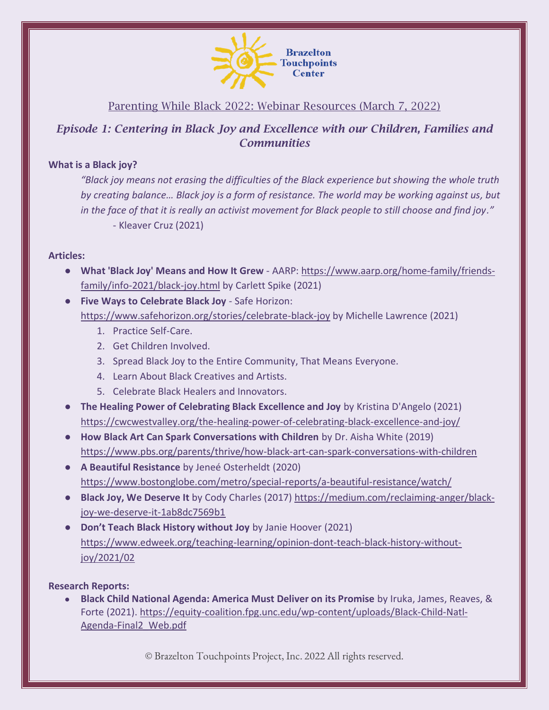

# Parenting While Black 2022: Webinar Resources (March 7, 2022)

## *Episode 1: Centering in Black Joy and Excellence with our Children, Families and Communities*

#### **What is a Black joy?**

*"Black joy means not erasing the difficulties of the Black experience but showing the whole truth by creating balance… Black joy is a form of resistance. The world may be working against us, but in the face of that it is really an activist movement for Black people to still choose and find joy."* - Kleaver Cruz (2021)

#### **Articles:**

- **What 'Black Joy' Means and How It Grew** AARP: [https://www.aarp.org/home-family/friends](https://www.aarp.org/home-family/friends-family/info-2021/black-joy.html)[family/info-2021/black-joy.html](https://www.aarp.org/home-family/friends-family/info-2021/black-joy.html) by Carlett Spike (2021)
- **Five Ways to Celebrate Black Joy** Safe Horizon: <https://www.safehorizon.org/stories/celebrate-black-joy> by Michelle Lawrence (2021)
	- 1. Practice Self-Care.
	- 2. Get Children Involved.
	- 3. Spread Black Joy to the Entire Community, That Means Everyone.
	- 4. Learn About Black Creatives and Artists.
	- 5. Celebrate Black Healers and Innovators.
- **The Healing Power of Celebrating Black Excellence and Joy** by Kristina D'Angelo (2021) <https://cwcwestvalley.org/the-healing-power-of-celebrating-black-excellence-and-joy/>
- **How Black Art Can Spark Conversations with Children** by Dr. Aisha White (2019) <https://www.pbs.org/parents/thrive/how-black-art-can-spark-conversations-with-children>
- **A Beautiful Resistance** by Jeneé Osterheldt (2020) <https://www.bostonglobe.com/metro/special-reports/a-beautiful-resistance/watch/>
- **Black Joy, We Deserve It** by Cody Charles (2017) [https://medium.com/reclaiming-anger/black](https://medium.com/reclaiming-anger/black-joy-we-deserve-it-1ab8dc7569b1)[joy-we-deserve-it-1ab8dc7569b1](https://medium.com/reclaiming-anger/black-joy-we-deserve-it-1ab8dc7569b1)
- **Don't Teach Black History without Joy** by Janie Hoover (2021) [https://www.edweek.org/teaching-learning/opinion-dont-teach-black-history-without](https://www.edweek.org/teaching-learning/opinion-dont-teach-black-history-without-joy/2021/02)[joy/2021/02](https://www.edweek.org/teaching-learning/opinion-dont-teach-black-history-without-joy/2021/02)

## **Research Reports:**

● **Black Child National Agenda: America Must Deliver on its Promise** by Iruka, James, Reaves, & Forte (2021). [https://equity-coalition.fpg.unc.edu/wp-content/uploads/Black-Child-Natl-](https://equity-coalition.fpg.unc.edu/wp-content/uploads/Black-Child-Natl-Agenda-Final2_Web.pdf)[Agenda-Final2\\_Web.pdf](https://equity-coalition.fpg.unc.edu/wp-content/uploads/Black-Child-Natl-Agenda-Final2_Web.pdf)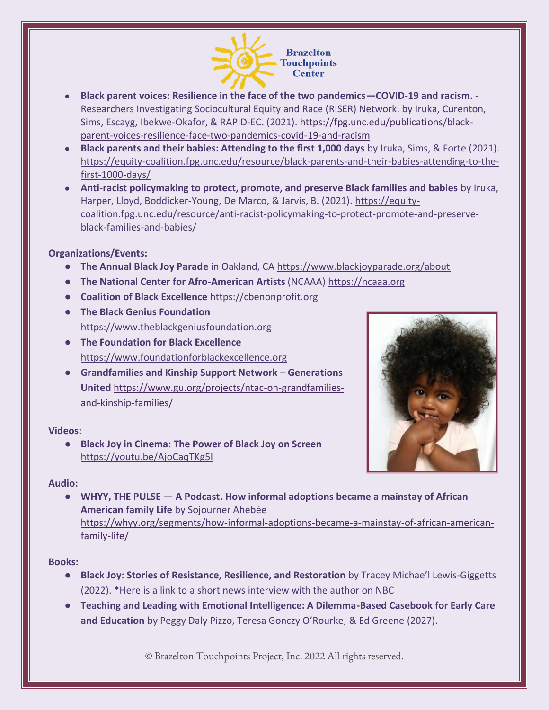

- **Black parent voices: Resilience in the face of the two pandemics—COVID-19 and racism.**  Researchers Investigating Sociocultural Equity and Race (RISER) Network. by Iruka, Curenton, Sims, Escayg, Ibekwe-Okafor, & RAPID-EC. (2021). [https://fpg.unc.edu/publications/black](https://fpg.unc.edu/publications/black-parent-voices-resilience-face-two-pandemics-covid-19-and-racism)[parent-voices-resilience-face-two-pandemics-covid-19-and-racism](https://fpg.unc.edu/publications/black-parent-voices-resilience-face-two-pandemics-covid-19-and-racism)
- **Black parents and their babies: Attending to the first 1,000 days** by Iruka, Sims, & Forte (2021). [https://equity-coalition.fpg.unc.edu/resource/black-parents-and-their-babies-attending-to-the](https://equity-coalition.fpg.unc.edu/resource/black-parents-and-their-babies-attending-to-the-first-1000-days/)[first-1000-days/](https://equity-coalition.fpg.unc.edu/resource/black-parents-and-their-babies-attending-to-the-first-1000-days/)
- **Anti-racist policymaking to protect, promote, and preserve Black families and babies** by Iruka, Harper, Lloyd, Boddicker-Young, De Marco, & Jarvis, B. (2021). [https://equity](https://equity-coalition.fpg.unc.edu/resource/anti-racist-policymaking-to-protect-promote-and-preserve-black-families-and-babies/)[coalition.fpg.unc.edu/resource/anti-racist-policymaking-to-protect-promote-and-preserve](https://equity-coalition.fpg.unc.edu/resource/anti-racist-policymaking-to-protect-promote-and-preserve-black-families-and-babies/)[black-families-and-babies/](https://equity-coalition.fpg.unc.edu/resource/anti-racist-policymaking-to-protect-promote-and-preserve-black-families-and-babies/)

## **Organizations/Events:**

- **The Annual Black Joy Parade** in Oakland, C[A https://www.blackjoyparade.org/about](https://www.blackjoyparade.org/about)
- **The National Center for Afro-American Artists** (NCAAA[\) https://ncaaa.org](https://ncaaa.org/)
- **Coalition of Black Excellence** [https://cbenonprofit.org](https://cbenonprofit.org/)
- **The Black Genius Foundation** [https://www.theblackgeniusfoundation.org](https://www.theblackgeniusfoundation.org/)
- **The Foundation for Black Excellence** [https://www.foundationforblackexcellence.org](https://www.foundationforblackexcellence.org/)
- **Grandfamilies and Kinship Support Network – Generations United** [https://www.gu.org/projects/ntac-on-grandfamilies](https://www.gu.org/projects/ntac-on-grandfamilies-and-kinship-families/)[and-kinship-families/](https://www.gu.org/projects/ntac-on-grandfamilies-and-kinship-families/)

#### **Videos:**

● **Black Joy in Cinema: The Power of Black Joy on Screen** <https://youtu.be/AjoCaqTKg5I>



## **Audio:**

● **WHYY, THE PULSE — A Podcast. How informal adoptions became a mainstay of African American family Life** by Sojourner Ahébée [https://whyy.org/segments/how-informal-adoptions-became-a-mainstay-of-african-american](https://whyy.org/segments/how-informal-adoptions-became-a-mainstay-of-african-american-family-life/)[family-life/](https://whyy.org/segments/how-informal-adoptions-became-a-mainstay-of-african-american-family-life/)

#### **Books:**

- **Black Joy: Stories of Resistance, Resilience, and Restoration** by Tracey Michae'l Lewis-Giggetts (2022). \*Here is a link to [a short news interview with the author on NBC](https://www.nbcphiladelphia.com/entertainment/philly-live/black-joy-book-tells-stories-of-resistance-resilience-and-restoration/3129921/)
- **Teaching and Leading with Emotional Intelligence: A Dilemma-Based Casebook for Early Care and Education** by Peggy Daly Pizzo, Teresa Gonczy O'Rourke, & Ed Greene (2027).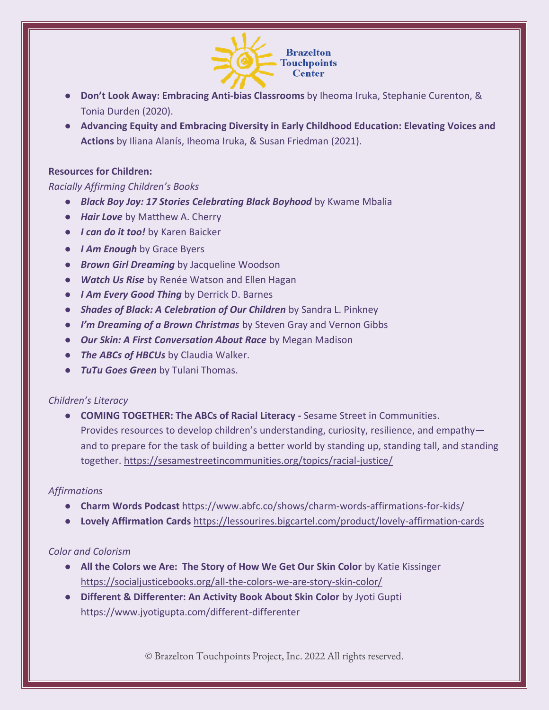

- **Don't Look Away: Embracing Anti-bias Classrooms** by Iheoma Iruka, Stephanie Curenton, & Tonia Durden (2020).
- **Advancing Equity and Embracing Diversity in Early Childhood Education: Elevating Voices and Actions** by Iliana Alanís, Iheoma Iruka, & Susan Friedman (2021).

#### **Resources for Children:**

#### *Racially Affirming Children's Books*

- *Black Boy Joy: 17 Stories Celebrating Black Boyhood* by Kwame Mbalia
- *Hair Love* by Matthew A. Cherry
- *I can do it too!* by Karen Baicker
- *I Am Enough* by Grace Byers
- **Brown Girl Dreaming** by Jacqueline Woodson
- *Watch Us Rise* by Renée Watson and Ellen Hagan
- *I Am Every Good Thing* by Derrick D. Barnes
- **Shades of Black: A Celebration of Our Children** by Sandra L. Pinkney
- *I'm Dreaming of a Brown Christmas* by Steven Gray and Vernon Gibbs
- *Our Skin: A First Conversation About Race* by Megan Madison
- *The ABCs of HBCUs* by Claudia Walker.
- *TuTu Goes Green* by Tulani Thomas.

#### *Children's Literacy*

● **COMING TOGETHER: The ABCs of Racial Literacy -** Sesame Street in Communities. Provides resources to develop children's understanding, curiosity, resilience, and empathy and to prepare for the task of building a better world by standing up, standing tall, and standing together. <https://sesamestreetincommunities.org/topics/racial-justice/>

#### *Affirmations*

- **Charm Words Podcast** <https://www.abfc.co/shows/charm-words-affirmations-for-kids/>
- **Lovely Affirmation Cards** <https://lessourires.bigcartel.com/product/lovely-affirmation-cards>

#### *Color and Colorism*

- **All the Colors we Are: The Story of How We Get Our Skin Color** by Katie Kissinger <https://socialjusticebooks.org/all-the-colors-we-are-story-skin-color/>
- **Different & Differenter: An Activity Book About Skin Color** by Jyoti Gupti <https://www.jyotigupta.com/different-differenter>